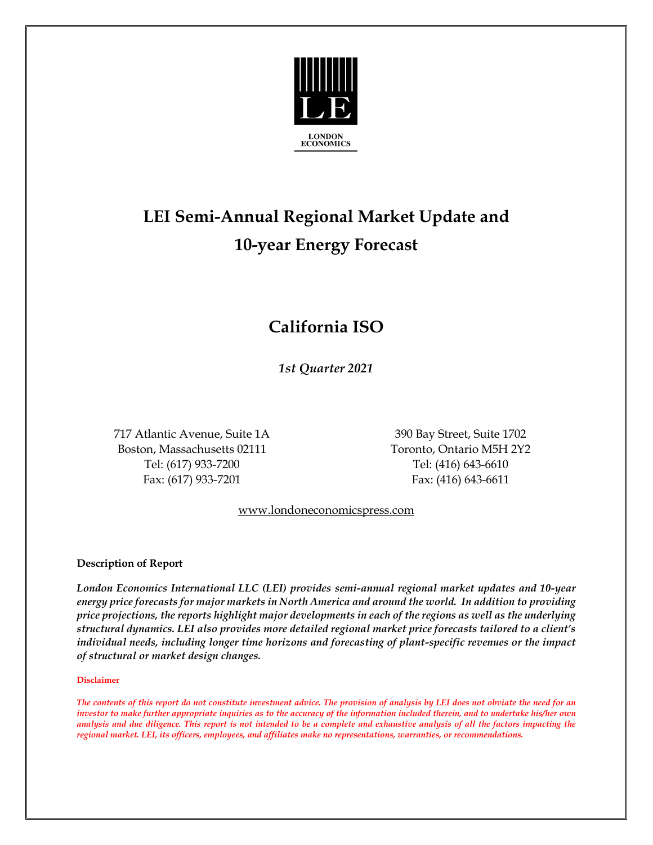

# **LEI Semi-Annual Regional Market Update and 10-year Energy Forecast**

## **California ISO**

*1st Quarter 2021*

 717 Atlantic Avenue, Suite 1A 390 Bay Street, Suite 1702 Boston, Massachusetts 02111 Toronto, Ontario M5H 2Y2 Tel: (617) 933-7200 Tel: (416) 643-6610 Fax: (617) 933-7201 Fax: (416) 643-6611

#### [www.londoneconomicspress.com](http://www.londoneconomicspress.com/)

#### **Description of Report**

*London Economics International LLC (LEI) provides semi-annual regional market updates and 10-year energy price forecasts for major markets in North America and around the world. In addition to providing price projections, the reports highlight major developments in each of the regions as well as the underlying structural dynamics. LEI also provides more detailed regional market price forecasts tailored to a client's individual needs, including longer time horizons and forecasting of plant-specific revenues or the impact of structural or market design changes.*

#### **Disclaimer**

*The contents of this report do not constitute investment advice. The provision of analysis by LEI does not obviate the need for an investor to make further appropriate inquiries as to the accuracy of the information included therein, and to undertake his/her own analysis and due diligence. This report is not intended to be a complete and exhaustive analysis of all the factors impacting the regional market. LEI, its officers, employees, and affiliates make no representations, warranties, or recommendations.*